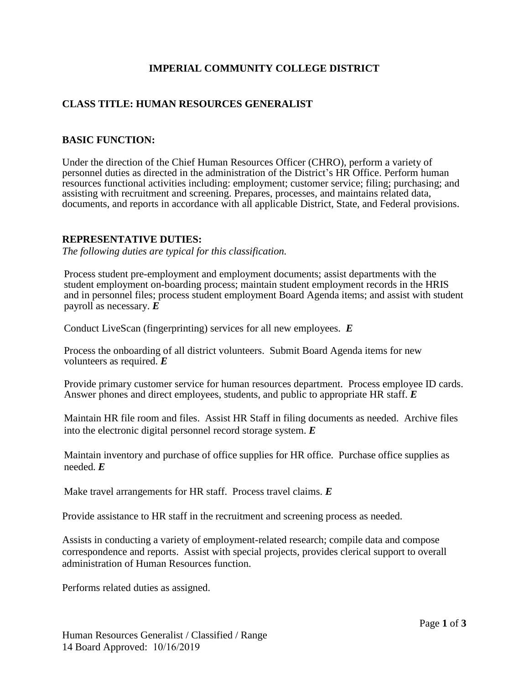# **IMPERIAL COMMUNITY COLLEGE DISTRICT**

# **CLASS TITLE: HUMAN RESOURCES GENERALIST**

## **BASIC FUNCTION:**

Under the direction of the Chief Human Resources Officer (CHRO), perform a variety of personnel duties as directed in the administration of the District's HR Office. Perform human resources functional activities including: employment; customer service; filing; purchasing; and assisting with recruitment and screening. Prepares, processes, and maintains related data, documents, and reports in accordance with all applicable District, State, and Federal provisions.

## **REPRESENTATIVE DUTIES:**

*The following duties are typical for this classification.*

Process student pre-employment and employment documents; assist departments with the student employment on-boarding process; maintain student employment records in the HRIS and in personnel files; process student employment Board Agenda items; and assist with student payroll as necessary. *E*

Conduct LiveScan (fingerprinting) services for all new employees. *E*

Process the onboarding of all district volunteers. Submit Board Agenda items for new volunteers as required. *E*

Provide primary customer service for human resources department. Process employee ID cards. Answer phones and direct employees, students, and public to appropriate HR staff. *E*

Maintain HR file room and files. Assist HR Staff in filing documents as needed. Archive files into the electronic digital personnel record storage system. *E*

Maintain inventory and purchase of office supplies for HR office. Purchase office supplies as needed. *E*

Make travel arrangements for HR staff. Process travel claims. *E*

Provide assistance to HR staff in the recruitment and screening process as needed.

Assists in conducting a variety of employment-related research; compile data and compose correspondence and reports. Assist with special projects, provides clerical support to overall administration of Human Resources function.

Performs related duties as assigned.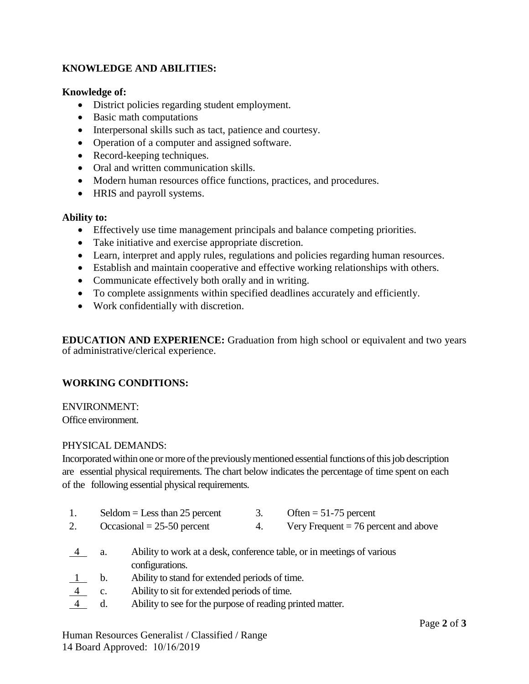# **KNOWLEDGE AND ABILITIES:**

## **Knowledge of:**

- District policies regarding student employment.
- Basic math computations
- Interpersonal skills such as tact, patience and courtesy.
- Operation of a computer and assigned software.
- Record-keeping techniques.
- Oral and written communication skills.
- Modern human resources office functions, practices, and procedures.
- HRIS and payroll systems.

#### **Ability to:**

- Effectively use time management principals and balance competing priorities.
- Take initiative and exercise appropriate discretion.
- Learn, interpret and apply rules, regulations and policies regarding human resources.
- Establish and maintain cooperative and effective working relationships with others.
- Communicate effectively both orally and in writing.
- To complete assignments within specified deadlines accurately and efficiently.
- Work confidentially with discretion.

**EDUCATION AND EXPERIENCE:** Graduation from high school or equivalent and two years of administrative/clerical experience.

# **WORKING CONDITIONS:**

## ENVIRONMENT:

Office environment.

#### PHYSICAL DEMANDS:

Incorporated within one or more of the previously mentioned essential functions of this job description are essential physical requirements. The chart below indicates the percentage of time spent on each of the following essential physical requirements.

1. Seldom = Less than 25 percent 3. Often = 51-75 percent 2. Occasional  $= 25-50$  percent 4. Very Frequent  $= 76$  percent and above 4 a. Ability to work at a desk, conference table, or in meetings of various configurations. 1 b. Ability to stand for extended periods of time. 4 c. Ability to sit for extended periods of time. d. Ability to see for the purpose of reading printed matter.